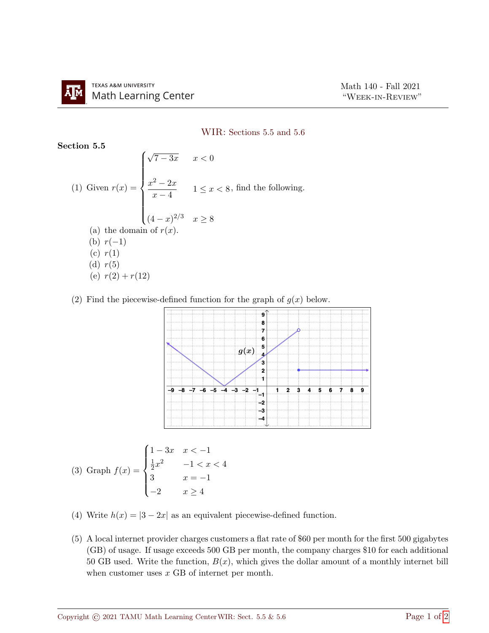## WIR: Sections 5.5 and 5.6

Section 5.5

(1) Given 
$$
r(x) = \begin{cases} \sqrt{7 - 3x} & x < 0 \\ \frac{x^2 - 2x}{x - 4} & 1 \le x < 8, \text{ find the following.} \\ (4 - x)^{2/3} & x \ge 8 \end{cases}
$$
  
\n(a) the domain of  $r(x)$ .  
\n(b)  $r(-1)$   
\n(c)  $r(1)$   
\n(d)  $r(5)$   
\n(e)  $r(2) + r(12)$ 

(2) Find the piecewise-defined function for the graph of  $q(x)$  below.



$$
(3) Graph f(x) = \begin{cases} 1 - 3x & x < -1 \\ \frac{1}{2}x^2 & -1 < x < 4 \\ 3 & x = -1 \\ -2 & x \ge 4 \end{cases}
$$

- (4) Write  $h(x) = |3 2x|$  as an equivalent piecewise-defined function.
- (5) A local internet provider charges customers a flat rate of \$60 per month for the first 500 gigabytes (GB) of usage. If usage exceeds 500 GB per month, the company charges \$10 for each additional 50 GB used. Write the function,  $B(x)$ , which gives the dollar amount of a monthly internet bill when customer uses x GB of internet per month.